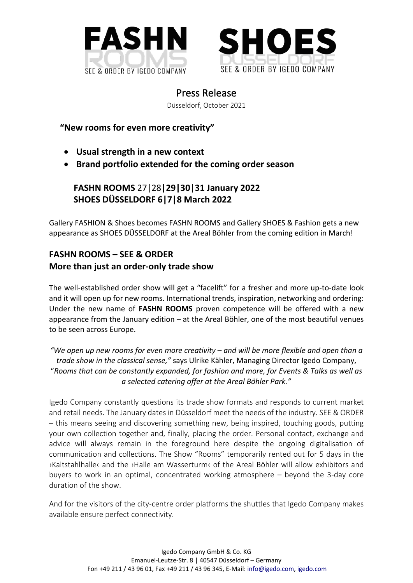



Press Release

Düsseldorf, October 2021

 **"New rooms for even more creativity"**

- **Usual strength in a new context**
- **Brand portfolio extended for the coming order season**

**FASHN ROOMS** 27|28**|29|30|31 January 2022 SHOES DÜSSELDORF 6|7|8 March 2022**

Gallery FASHION & Shoes becomes FASHN ROOMS and Gallery SHOES & Fashion gets a new appearance as SHOES DÜSSELDORF at the Areal Böhler from the coming edition in March!

## **FASHN ROOMS – SEE & ORDER More than just an order-only trade show**

The well-established order show will get a "facelift" for a fresher and more up-to-date look and it will open up for new rooms. International trends, inspiration, networking and ordering: Under the new name of **FASHN ROOMS** proven competence will be offered with a new appearance from the January edition – at the Areal Böhler, one of the most beautiful venues to be seen across Europe.

*"We open up new rooms for even more creativity – and will be more flexible and open than a trade show in the classical sense,"* says Ulrike Kähler, Managing Director Igedo Company, "*Rooms that can be constantly expanded, for fashion and more, for Events & Talks as well as a selected catering offer at the Areal Böhler Park."*

Igedo Company constantly questions its trade show formats and responds to current market and retail needs. The January dates in Düsseldorf meet the needs of the industry. SEE & ORDER – this means seeing and discovering something new, being inspired, touching goods, putting your own collection together and, finally, placing the order. Personal contact, exchange and advice will always remain in the foreground here despite the ongoing digitalisation of communication and collections. The Show "Rooms" temporarily rented out for 5 days in the ›Kaltstahlhalle‹ and the ›Halle am Wasserturm‹ of the Areal Böhler will allow exhibitors and buyers to work in an optimal, concentrated working atmosphere – beyond the 3-day core duration of the show.

And for the visitors of the city-centre order platforms the shuttles that Igedo Company makes available ensure perfect connectivity.